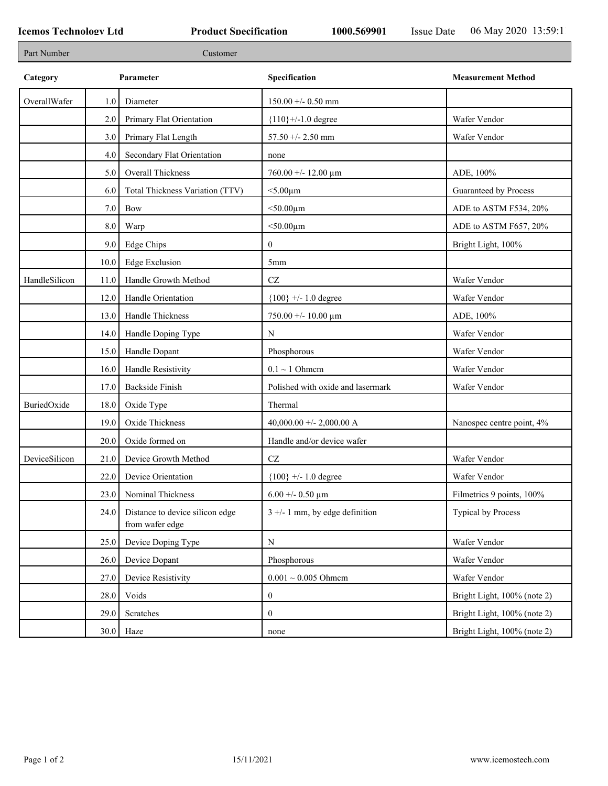| Part Number   |         | Customer                                           |                                   |                             |
|---------------|---------|----------------------------------------------------|-----------------------------------|-----------------------------|
| Category      |         | Parameter                                          | Specification                     | <b>Measurement Method</b>   |
| OverallWafer  | 1.0     | Diameter                                           | $150.00 + - 0.50$ mm              |                             |
|               | 2.0     | Primary Flat Orientation                           | ${110}$ +/-1.0 degree             | Wafer Vendor                |
|               | 3.0     | Primary Flat Length                                | 57.50 +/- 2.50 mm                 | Wafer Vendor                |
|               | 4.0     | Secondary Flat Orientation                         | none                              |                             |
|               | 5.0     | Overall Thickness                                  | $760.00 + - 12.00 \mu m$          | ADE, 100%                   |
|               | 6.0     | Total Thickness Variation (TTV)                    | $<$ 5.00 $\mu$ m                  | Guaranteed by Process       |
|               | 7.0     | <b>Bow</b>                                         | $<$ 50.00 $\mu$ m                 | ADE to ASTM F534, 20%       |
|               | $8.0\,$ | Warp                                               | $<$ 50.00 $\mu$ m                 | ADE to ASTM F657, 20%       |
|               | 9.0     | Edge Chips                                         | $\mathbf{0}$                      | Bright Light, 100%          |
|               | 10.0    | <b>Edge Exclusion</b>                              | 5 <sub>mm</sub>                   |                             |
| HandleSilicon | 11.0    | Handle Growth Method                               | $\operatorname{CZ}$               | Wafer Vendor                |
|               | 12.0    | Handle Orientation                                 | ${100}$ +/- 1.0 degree            | Wafer Vendor                |
|               | 13.0    | Handle Thickness                                   | $750.00 + - 10.00 \mu m$          | ADE, 100%                   |
|               | 14.0    | Handle Doping Type                                 | ${\bf N}$                         | Wafer Vendor                |
|               | 15.0    | Handle Dopant                                      | Phosphorous                       | Wafer Vendor                |
|               | 16.0    | Handle Resistivity                                 | $0.1 \sim 1$ Ohmem                | Wafer Vendor                |
|               | 17.0    | <b>Backside Finish</b>                             | Polished with oxide and lasermark | Wafer Vendor                |
| BuriedOxide   | 18.0    | Oxide Type                                         | Thermal                           |                             |
|               | 19.0    | Oxide Thickness                                    | 40,000.00 +/- 2,000.00 A          | Nanospec centre point, 4%   |
|               | 20.0    | Oxide formed on                                    | Handle and/or device wafer        |                             |
| DeviceSilicon | 21.0    | Device Growth Method                               | $\operatorname{CZ}$               | Wafer Vendor                |
|               | 22.0    | Device Orientation                                 | ${100}$ +/- 1.0 degree            | Wafer Vendor                |
|               | 23.0    | Nominal Thickness                                  | $6.00 + - 0.50 \mu m$             | Filmetrics 9 points, 100%   |
|               | 24.0    | Distance to device silicon edge<br>from wafer edge | $3 +/- 1$ mm, by edge definition  | <b>Typical by Process</b>   |
|               | 25.0    | Device Doping Type                                 | ${\bf N}$                         | Wafer Vendor                |
|               | 26.0    | Device Dopant                                      | Phosphorous                       | Wafer Vendor                |
|               | 27.0    | Device Resistivity                                 | $0.001 \sim 0.005$ Ohmem          | Wafer Vendor                |
|               | 28.0    | Voids                                              | $\boldsymbol{0}$                  | Bright Light, 100% (note 2) |
|               | 29.0    | Scratches                                          | $\mathbf{0}$                      | Bright Light, 100% (note 2) |
|               |         | $30.0$ Haze                                        | none                              | Bright Light, 100% (note 2) |